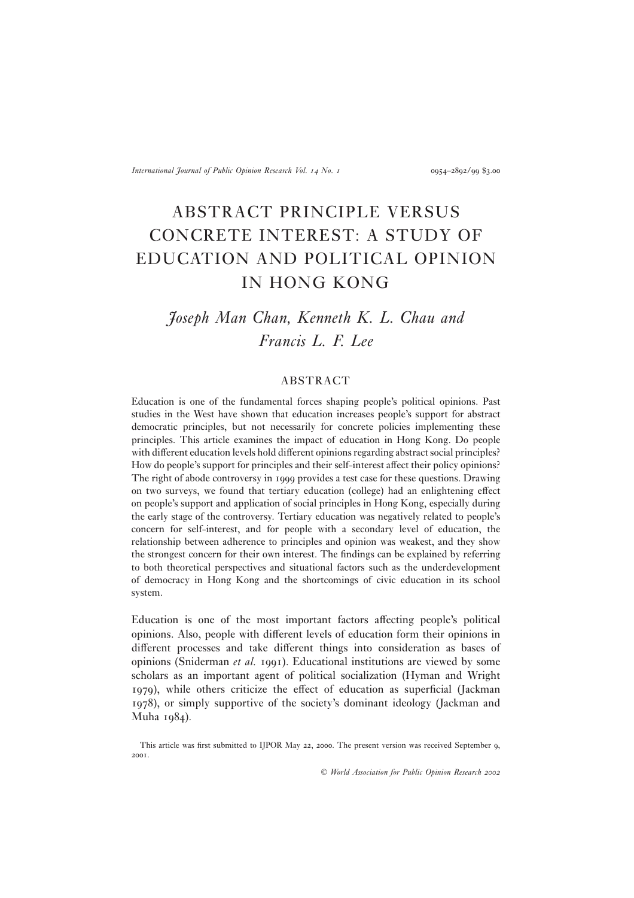# ABSTRACT PRINCIPLE VERSUS CONCRETE INTEREST: A STUDY OF EDUCATION AND POLITICAL OPINION IN HONG KONG

## *Joseph Man Chan, Kenneth K. L. Chau and Francis L. F. Lee*

## ABSTRACT

Education is one of the fundamental forces shaping people's political opinions. Past studies in the West have shown that education increases people's support for abstract democratic principles, but not necessarily for concrete policies implementing these principles. This article examines the impact of education in Hong Kong. Do people with different education levels hold different opinions regarding abstract social principles? How do people's support for principles and their self-interest affect their policy opinions? The right of abode controversy in 1999 provides a test case for these questions. Drawing on two surveys, we found that tertiary education (college) had an enlightening effect on people's support and application of social principles in Hong Kong, especially during the early stage of the controversy. Tertiary education was negatively related to people's concern for self-interest, and for people with a secondary level of education, the relationship between adherence to principles and opinion was weakest, and they show the strongest concern for their own interest. The findings can be explained by referring to both theoretical perspectives and situational factors such as the underdevelopment of democracy in Hong Kong and the shortcomings of civic education in its school system.

Education is one of the most important factors affecting people's political opinions. Also, people with different levels of education form their opinions in different processes and take different things into consideration as bases of opinions (Sniderman *et al.* 1991). Educational institutions are viewed by some scholars as an important agent of political socialization (Hyman and Wright ), while others criticize the effect of education as superficial (Jackman ), or simply supportive of the society's dominant ideology (Jackman and Muha 1984).

This article was first submitted to IJPOR May  $22$ , 2000. The present version was received September  $q$ , 200<sub>L</sub>

*World Association for Public Opinion Research*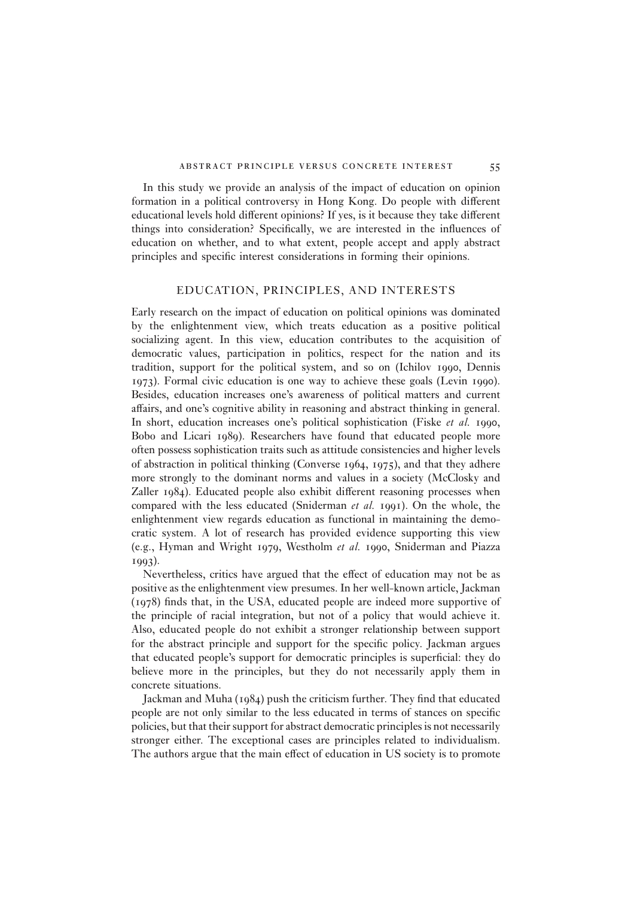#### ABSTRACT PRINCIPLE VERSUS CONCRETE INTEREST 55

In this study we provide an analysis of the impact of education on opinion formation in a political controversy in Hong Kong. Do people with different educational levels hold different opinions? If yes, is it because they take different things into consideration? Specifically, we are interested in the influences of education on whether, and to what extent, people accept and apply abstract principles and specific interest considerations in forming their opinions.

## EDUCATION, PRINCIPLES, AND INTERESTS

Early research on the impact of education on political opinions was dominated by the enlightenment view, which treats education as a positive political socializing agent. In this view, education contributes to the acquisition of democratic values, participation in politics, respect for the nation and its tradition, support for the political system, and so on (Ichilov 1990, Dennis  $1973$ ). Formal civic education is one way to achieve these goals (Levin  $1990$ ). Besides, education increases one's awareness of political matters and current affairs, and one's cognitive ability in reasoning and abstract thinking in general. In short, education increases one's political sophistication (Fiske *et al.* 1990, Bobo and Licari 1989). Researchers have found that educated people more often possess sophistication traits such as attitude consistencies and higher levels of abstraction in political thinking (Converse  $1964$ ,  $1975$ ), and that they adhere more strongly to the dominant norms and values in a society (McClosky and Zaller 1984). Educated people also exhibit different reasoning processes when compared with the less educated (Sniderman *et al.* 1991). On the whole, the enlightenment view regards education as functional in maintaining the democratic system. A lot of research has provided evidence supporting this view (e.g., Hyman and Wright 1979, Westholm *et al.* 1990, Sniderman and Piazza 1993).

Nevertheless, critics have argued that the effect of education may not be as positive as the enlightenment view presumes. In her well-known article, Jackman  $(1978)$  finds that, in the USA, educated people are indeed more supportive of the principle of racial integration, but not of a policy that would achieve it. Also, educated people do not exhibit a stronger relationship between support for the abstract principle and support for the specific policy. Jackman argues that educated people's support for democratic principles is superficial: they do believe more in the principles, but they do not necessarily apply them in concrete situations.

Jackman and Muha ( $1984$ ) push the criticism further. They find that educated people are not only similar to the less educated in terms of stances on specific policies, but that their support for abstract democratic principles is not necessarily stronger either. The exceptional cases are principles related to individualism. The authors argue that the main effect of education in US society is to promote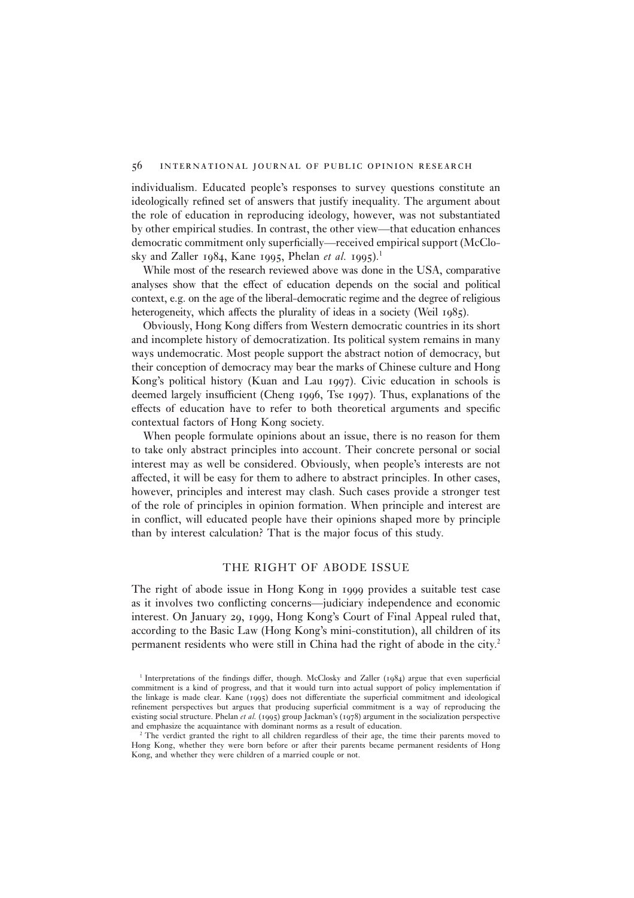individualism. Educated people's responses to survey questions constitute an ideologically refined set of answers that justify inequality. The argument about the role of education in reproducing ideology, however, was not substantiated by other empirical studies. In contrast, the other view—that education enhances democratic commitment only superficially—received empirical support (McClosky and Zaller  $1984$ , Kane 1995, Phelan *et al.*  $1995$ .<sup>1</sup>

While most of the research reviewed above was done in the USA, comparative analyses show that the effect of education depends on the social and political context, e.g. on the age of the liberal-democratic regime and the degree of religious heterogeneity, which affects the plurality of ideas in a society (Weil  $1085$ ).

Obviously, Hong Kong differs from Western democratic countries in its short and incomplete history of democratization. Its political system remains in many ways undemocratic. Most people support the abstract notion of democracy, but their conception of democracy may bear the marks of Chinese culture and Hong Kong's political history (Kuan and Lau 1997). Civic education in schools is deemed largely insufficient (Cheng 1996, Tse 1997). Thus, explanations of the effects of education have to refer to both theoretical arguments and specific contextual factors of Hong Kong society.

When people formulate opinions about an issue, there is no reason for them to take only abstract principles into account. Their concrete personal or social interest may as well be considered. Obviously, when people's interests are not affected, it will be easy for them to adhere to abstract principles. In other cases, however, principles and interest may clash. Such cases provide a stronger test of the role of principles in opinion formation. When principle and interest are in conflict, will educated people have their opinions shaped more by principle than by interest calculation? That is the major focus of this study.

## THE RIGHT OF ABODE ISSUE

The right of abode issue in Hong Kong in 1999 provides a suitable test case as it involves two conflicting concerns—judiciary independence and economic interest. On January 29, 1999, Hong Kong's Court of Final Appeal ruled that, according to the Basic Law (Hong Kong's mini-constitution), all children of its permanent residents who were still in China had the right of abode in the city.<sup>2</sup>

<sup>&</sup>lt;sup>1</sup> Interpretations of the findings differ, though. McClosky and Zaller ( $1984$ ) argue that even superficial commitment is a kind of progress, and that it would turn into actual support of policy implementation if the linkage is made clear. Kane  $(1995)$  does not differentiate the superficial commitment and ideological refinement perspectives but argues that producing superficial commitment is a way of reproducing the existing social structure. Phelan *et al.* (1995) group Jackman's (1978) argument in the socialization perspective and emphasize the acquaintance with dominant norms as a result of education.

<sup>2</sup> The verdict granted the right to all children regardless of their age, the time their parents moved to Hong Kong, whether they were born before or after their parents became permanent residents of Hong Kong, and whether they were children of a married couple or not.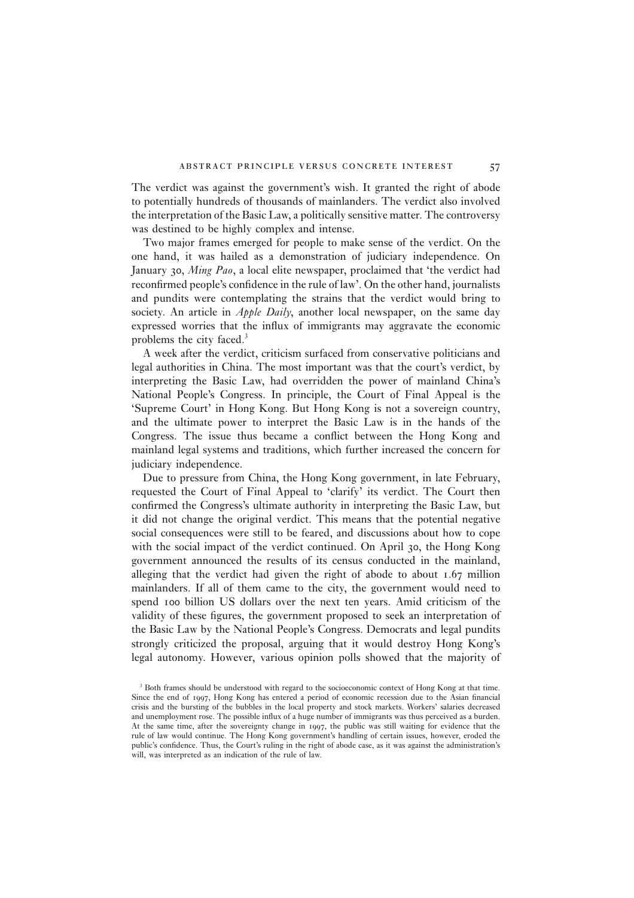The verdict was against the government's wish. It granted the right of abode to potentially hundreds of thousands of mainlanders. The verdict also involved the interpretation of the Basic Law, a politically sensitive matter. The controversy was destined to be highly complex and intense.

Two major frames emerged for people to make sense of the verdict. On the one hand, it was hailed as a demonstration of judiciary independence. On January 30, *Ming Pao*, a local elite newspaper, proclaimed that 'the verdict had reconfirmed people's confidence in the rule of law'. On the other hand, journalists and pundits were contemplating the strains that the verdict would bring to society. An article in *Apple Daily*, another local newspaper, on the same day expressed worries that the influx of immigrants may aggravate the economic problems the city faced.3

A week after the verdict, criticism surfaced from conservative politicians and legal authorities in China. The most important was that the court's verdict, by interpreting the Basic Law, had overridden the power of mainland China's National People's Congress. In principle, the Court of Final Appeal is the 'Supreme Court' in Hong Kong. But Hong Kong is not a sovereign country, and the ultimate power to interpret the Basic Law is in the hands of the Congress. The issue thus became a conflict between the Hong Kong and mainland legal systems and traditions, which further increased the concern for judiciary independence.

Due to pressure from China, the Hong Kong government, in late February, requested the Court of Final Appeal to 'clarify' its verdict. The Court then confirmed the Congress's ultimate authority in interpreting the Basic Law, but it did not change the original verdict. This means that the potential negative social consequences were still to be feared, and discussions about how to cope with the social impact of the verdict continued. On April 30, the Hong Kong government announced the results of its census conducted in the mainland, alleging that the verdict had given the right of abode to about  $1.67$  million mainlanders. If all of them came to the city, the government would need to spend 100 billion US dollars over the next ten years. Amid criticism of the validity of these figures, the government proposed to seek an interpretation of the Basic Law by the National People's Congress. Democrats and legal pundits strongly criticized the proposal, arguing that it would destroy Hong Kong's legal autonomy. However, various opinion polls showed that the majority of

<sup>&</sup>lt;sup>3</sup> Both frames should be understood with regard to the socioeconomic context of Hong Kong at that time. Since the end of 1997, Hong Kong has entered a period of economic recession due to the Asian financial crisis and the bursting of the bubbles in the local property and stock markets. Workers' salaries decreased and unemployment rose. The possible influx of a huge number of immigrants was thus perceived as a burden. At the same time, after the sovereignty change in 1997, the public was still waiting for evidence that the rule of law would continue. The Hong Kong government's handling of certain issues, however, eroded the public's confidence. Thus, the Court's ruling in the right of abode case, as it was against the administration's will, was interpreted as an indication of the rule of law.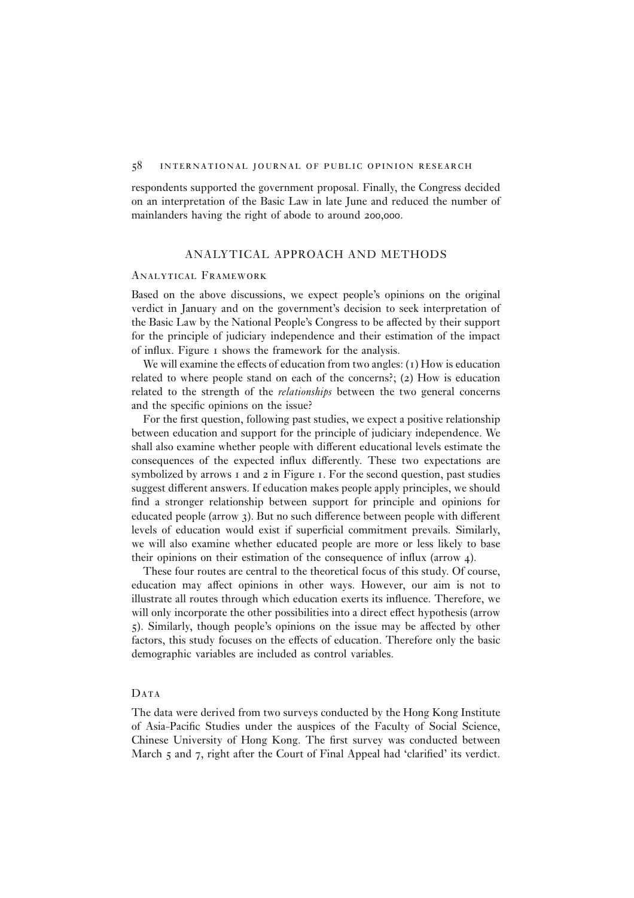respondents supported the government proposal. Finally, the Congress decided on an interpretation of the Basic Law in late June and reduced the number of mainlanders having the right of abode to around 200,000.

## ANALYTICAL APPROACH AND METHODS

## **ANALYTICAL FRAMEWORK**

Based on the above discussions, we expect people's opinions on the original verdict in January and on the government's decision to seek interpretation of the Basic Law by the National People's Congress to be affected by their support for the principle of judiciary independence and their estimation of the impact of influx. Figure I shows the framework for the analysis.

We will examine the effects of education from two angles:  $(i)$  How is education related to where people stand on each of the concerns?;  $(z)$  How is education related to the strength of the *relationships* between the two general concerns and the specific opinions on the issue?

For the first question, following past studies, we expect a positive relationship between education and support for the principle of judiciary independence. We shall also examine whether people with different educational levels estimate the consequences of the expected influx differently. These two expectations are symbolized by arrows  $\bar{I}$  and  $\bar{2}$  in Figure  $\bar{I}$ . For the second question, past studies suggest different answers. If education makes people apply principles, we should find a stronger relationship between support for principle and opinions for educated people (arrow 3). But no such difference between people with different levels of education would exist if superficial commitment prevails. Similarly, we will also examine whether educated people are more or less likely to base their opinions on their estimation of the consequence of influx (arrow 4).

These four routes are central to the theoretical focus of this study. Of course, education may affect opinions in other ways. However, our aim is not to illustrate all routes through which education exerts its influence. Therefore, we will only incorporate the other possibilities into a direct effect hypothesis (arrow ). Similarly, though people's opinions on the issue may be affected by other factors, this study focuses on the effects of education. Therefore only the basic demographic variables are included as control variables.

## **DATA**

The data were derived from two surveys conducted by the Hong Kong Institute of Asia-Pacific Studies under the auspices of the Faculty of Social Science, Chinese University of Hong Kong. The first survey was conducted between March 5 and 7, right after the Court of Final Appeal had 'clarified' its verdict.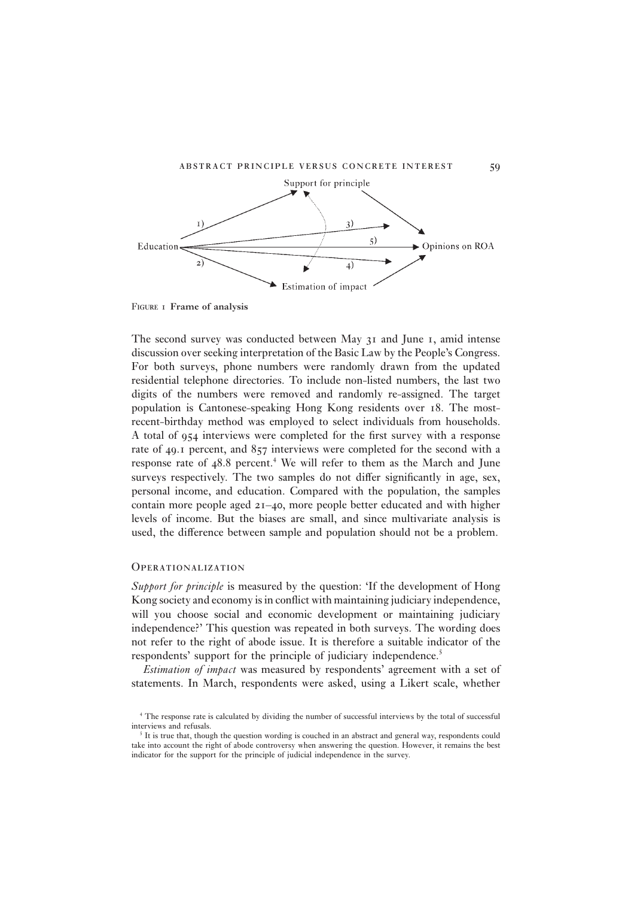

FIGURE I Frame of analysis

The second survey was conducted between May  $3I$  and June I, amid intense discussion over seeking interpretation of the Basic Law by the People's Congress. For both surveys, phone numbers were randomly drawn from the updated residential telephone directories. To include non-listed numbers, the last two digits of the numbers were removed and randomly re-assigned. The target population is Cantonese-speaking Hong Kong residents over 18. The mostrecent-birthday method was employed to select individuals from households. A total of 954 interviews were completed for the first survey with a response rate of  $40.1$  percent, and  $857$  interviews were completed for the second with a response rate of  $48.8$  percent.<sup>4</sup> We will refer to them as the March and June surveys respectively. The two samples do not differ significantly in age, sex, personal income, and education. Compared with the population, the samples contain more people aged  $2I-40$ , more people better educated and with higher levels of income. But the biases are small, and since multivariate analysis is used, the difference between sample and population should not be a problem.

#### **OPERATIONALIZATION**

*Support for principle* is measured by the question: 'If the development of Hong Kong society and economy is in conflict with maintaining judiciary independence, will you choose social and economic development or maintaining judiciary independence?' This question was repeated in both surveys. The wording does not refer to the right of abode issue. It is therefore a suitable indicator of the respondents' support for the principle of judiciary independence.<sup>5</sup>

*Estimation of impact* was measured by respondents' agreement with a set of statements. In March, respondents were asked, using a Likert scale, whether

<sup>4</sup> The response rate is calculated by dividing the number of successful interviews by the total of successful interviews and refusals.

It is true that, though the question wording is couched in an abstract and general way, respondents could take into account the right of abode controversy when answering the question. However, it remains the best indicator for the support for the principle of judicial independence in the survey.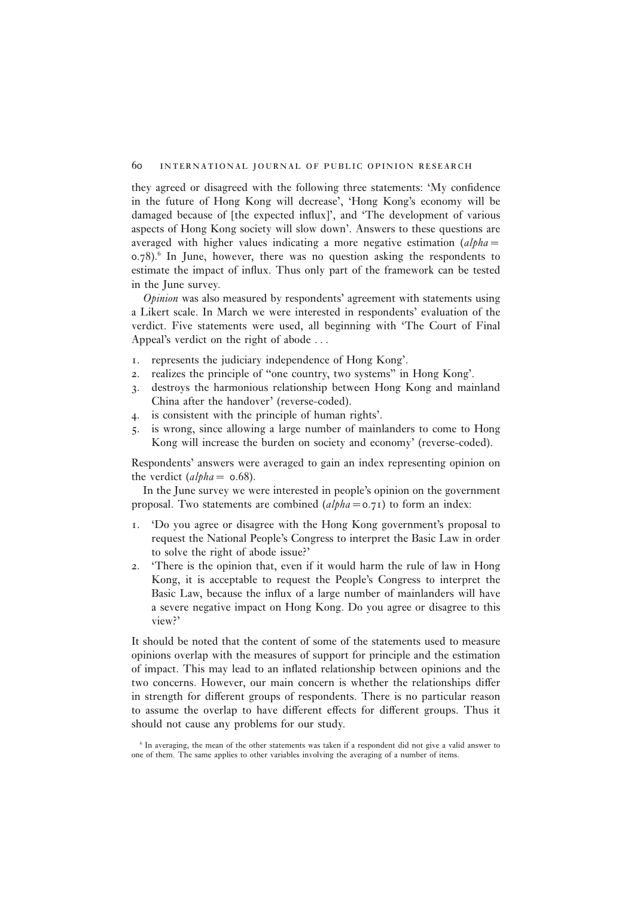they agreed or disagreed with the following three statements: 'My confidence in the future of Hong Kong will decrease', 'Hong Kong's economy will be damaged because of [the expected influx]', and 'The development of various aspects of Hong Kong society will slow down'. Answers to these questions are averaged with higher values indicating a more negative estimation (*alpha*=  $(0.78)$ .<sup>6</sup> In June, however, there was no question asking the respondents to estimate the impact of influx. Thus only part of the framework can be tested in the June survey.

*Opinion* was also measured by respondents' agreement with statements using a Likert scale. In March we were interested in respondents' evaluation of the verdict. Five statements were used, all beginning with 'The Court of Final Appeal's verdict on the right of abode . . .

- . represents the judiciary independence of Hong Kong'.
- . realizes the principle of "one country, two systems" in Hong Kong'.
- . destroys the harmonious relationship between Hong Kong and mainland China after the handover' (reverse-coded).
- . is consistent with the principle of human rights'.
- . is wrong, since allowing a large number of mainlanders to come to Hong Kong will increase the burden on society and economy' (reverse-coded).

Respondents' answers were averaged to gain an index representing opinion on the verdict  $\text{(alpha)} = 0.68$ ).

In the June survey we were interested in people's opinion on the government proposal. Two statements are combined  $(a lpha = 0.71)$  to form an index:

- . 'Do you agree or disagree with the Hong Kong government's proposal to request the National People's Congress to interpret the Basic Law in order to solve the right of abode issue?'
- . 'There is the opinion that, even if it would harm the rule of law in Hong Kong, it is acceptable to request the People's Congress to interpret the Basic Law, because the influx of a large number of mainlanders will have a severe negative impact on Hong Kong. Do you agree or disagree to this view?'

It should be noted that the content of some of the statements used to measure opinions overlap with the measures of support for principle and the estimation of impact. This may lead to an inflated relationship between opinions and the two concerns. However, our main concern is whether the relationships differ in strength for different groups of respondents. There is no particular reason to assume the overlap to have different effects for different groups. Thus it should not cause any problems for our study.

<sup>6</sup> In averaging, the mean of the other statements was taken if a respondent did not give a valid answer to one of them. The same applies to other variables involving the averaging of a number of items.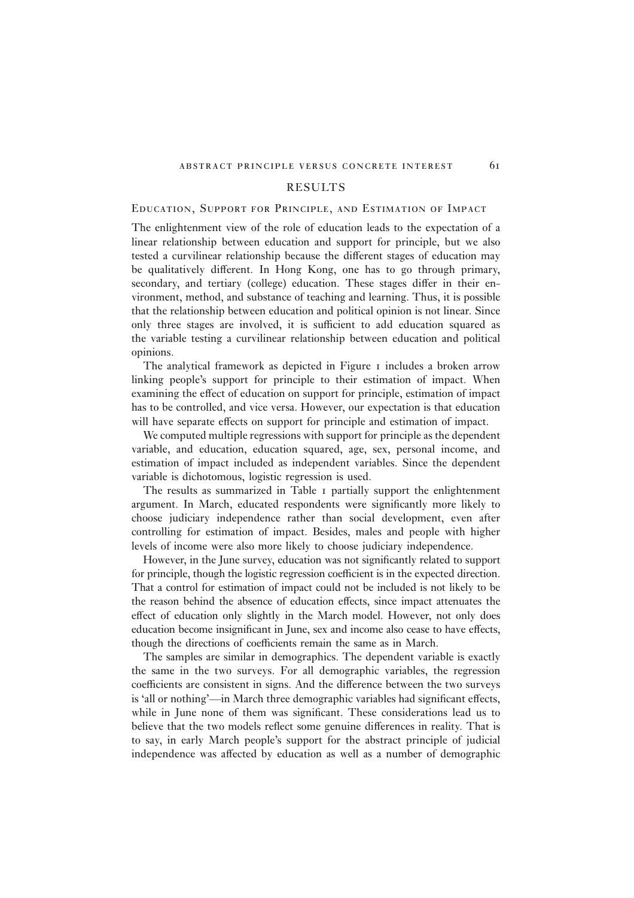#### RESULTS

## EDUCATION, SUPPORT FOR PRINCIPLE, AND ESTIMATION OF IMPACT

The enlightenment view of the role of education leads to the expectation of a linear relationship between education and support for principle, but we also tested a curvilinear relationship because the different stages of education may be qualitatively different. In Hong Kong, one has to go through primary, secondary, and tertiary (college) education. These stages differ in their environment, method, and substance of teaching and learning. Thus, it is possible that the relationship between education and political opinion is not linear. Since only three stages are involved, it is sufficient to add education squared as the variable testing a curvilinear relationship between education and political opinions.

The analytical framework as depicted in Figure I includes a broken arrow linking people's support for principle to their estimation of impact. When examining the effect of education on support for principle, estimation of impact has to be controlled, and vice versa. However, our expectation is that education will have separate effects on support for principle and estimation of impact.

We computed multiple regressions with support for principle as the dependent variable, and education, education squared, age, sex, personal income, and estimation of impact included as independent variables. Since the dependent variable is dichotomous, logistic regression is used.

The results as summarized in Table I partially support the enlightenment argument. In March, educated respondents were significantly more likely to choose judiciary independence rather than social development, even after controlling for estimation of impact. Besides, males and people with higher levels of income were also more likely to choose judiciary independence.

However, in the June survey, education was not significantly related to support for principle, though the logistic regression coefficient is in the expected direction. That a control for estimation of impact could not be included is not likely to be the reason behind the absence of education effects, since impact attenuates the effect of education only slightly in the March model. However, not only does education become insignificant in June, sex and income also cease to have effects, though the directions of coefficients remain the same as in March.

The samples are similar in demographics. The dependent variable is exactly the same in the two surveys. For all demographic variables, the regression coefficients are consistent in signs. And the difference between the two surveys is 'all or nothing'—in March three demographic variables had significant effects, while in June none of them was significant. These considerations lead us to believe that the two models reflect some genuine differences in reality. That is to say, in early March people's support for the abstract principle of judicial independence was affected by education as well as a number of demographic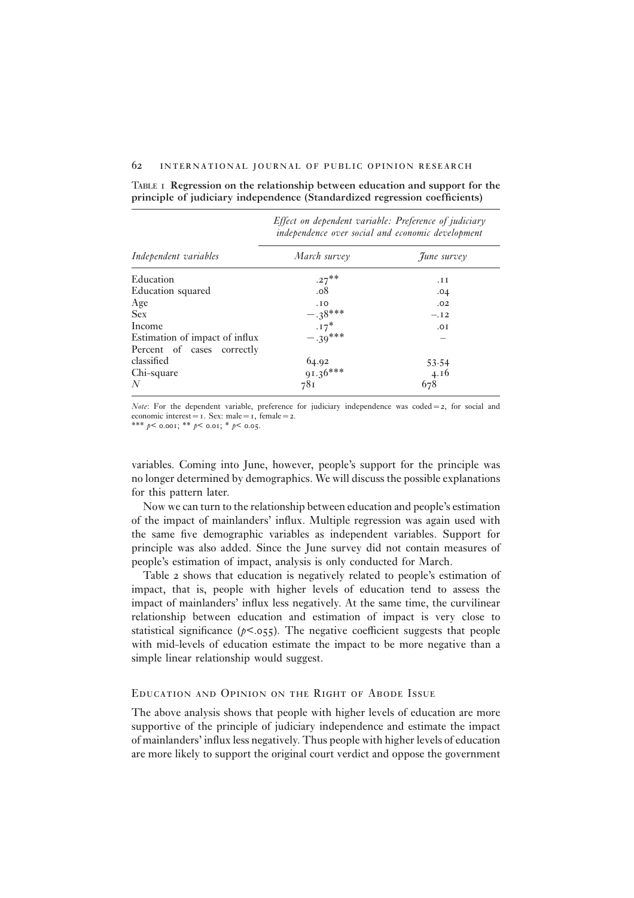|                                                              | Effect on dependent variable: Preference of judiciary<br>independence over social and economic development |                    |  |  |
|--------------------------------------------------------------|------------------------------------------------------------------------------------------------------------|--------------------|--|--|
| Independent variables                                        | March survey                                                                                               | <i>June survey</i> |  |  |
| Education                                                    | $.27***$                                                                                                   | . I I              |  |  |
| Education squared                                            | .08                                                                                                        | .04                |  |  |
| Age                                                          | .10                                                                                                        | .02                |  |  |
| <b>Sex</b>                                                   | $-.38***$                                                                                                  | $-.12$             |  |  |
| Income                                                       | $.17*$                                                                                                     | .OI                |  |  |
| Estimation of impact of influx<br>Percent of cases correctly | $-.39***$                                                                                                  |                    |  |  |
| classified                                                   |                                                                                                            | 53.54              |  |  |
| Chi-square                                                   | $64.92$<br>91.36***                                                                                        | 4.16               |  |  |
| N                                                            | 78I                                                                                                        | 678                |  |  |

TABLE I Regression on the relationship between education and support for the **principle of judiciary independence (Standardized regression coefficients)**

*Note*: For the dependent variable, preference for judiciary independence was coded= $2$ , for social and economic interest =  $I.$  Sex: male =  $I.$  female =  $2.$ \*\*\* *p* < 0.001; \*\* *p* < 0.01; \* *p* < 0.05.

variables. Coming into June, however, people's support for the principle was no longer determined by demographics. We will discuss the possible explanations for this pattern later.

Now we can turn to the relationship between education and people's estimation of the impact of mainlanders' influx. Multiple regression was again used with the same five demographic variables as independent variables. Support for principle was also added. Since the June survey did not contain measures of people's estimation of impact, analysis is only conducted for March.

Table 2 shows that education is negatively related to people's estimation of impact, that is, people with higher levels of education tend to assess the impact of mainlanders' influx less negatively. At the same time, the curvilinear relationship between education and estimation of impact is very close to statistical significance  $(p< .055)$ . The negative coefficient suggests that people with mid-levels of education estimate the impact to be more negative than a simple linear relationship would suggest.

## EDUCATION AND OPINION ON THE RIGHT OF ABODE ISSUE

The above analysis shows that people with higher levels of education are more supportive of the principle of judiciary independence and estimate the impact of mainlanders' influx less negatively. Thus people with higher levels of education are more likely to support the original court verdict and oppose the government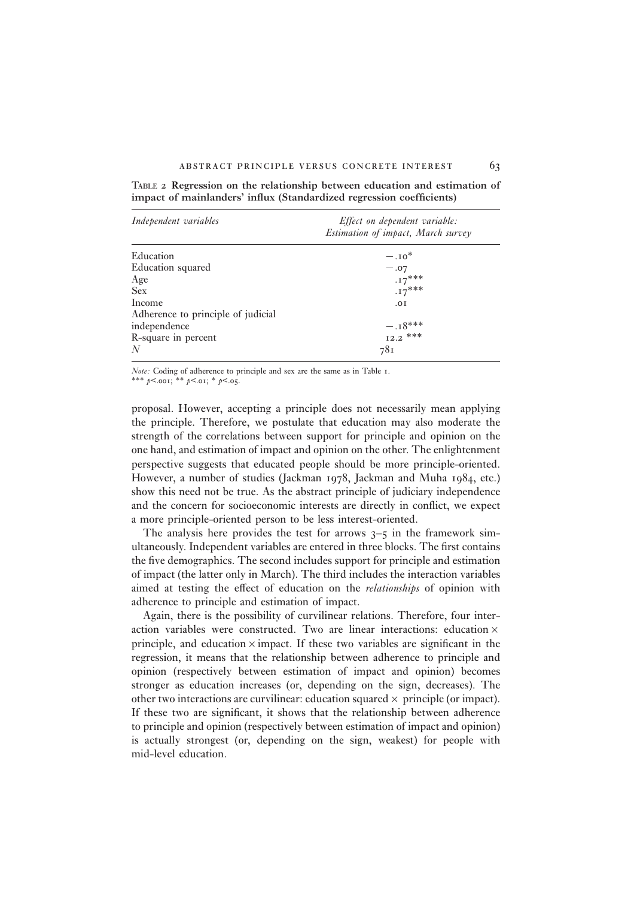TABLE 2 **Regression on the relationship between education and estimation of impact of mainlanders' influx (Standardized regression coefficients)**

| Independent variables              | <i>Effect on dependent variable:</i><br>Estimation of impact, March survey |  |  |  |
|------------------------------------|----------------------------------------------------------------------------|--|--|--|
| Education                          | $-.10*$                                                                    |  |  |  |
| Education squared                  | $-.07$                                                                     |  |  |  |
| Age                                | $.17***$                                                                   |  |  |  |
| <b>Sex</b>                         | $.17***$                                                                   |  |  |  |
| Income                             | .01                                                                        |  |  |  |
| Adherence to principle of judicial |                                                                            |  |  |  |
| independence                       |                                                                            |  |  |  |
| R-square in percent                | $-.18***$<br>$12.2***$                                                     |  |  |  |
| N                                  | 781                                                                        |  |  |  |

*Note:* Coding of adherence to principle and sex are the same as in Table 1.

\*\*\* *p*<.001; \*\* *p*<.01; \* *p*<.05.

proposal. However, accepting a principle does not necessarily mean applying the principle. Therefore, we postulate that education may also moderate the strength of the correlations between support for principle and opinion on the one hand, and estimation of impact and opinion on the other. The enlightenment perspective suggests that educated people should be more principle-oriented. However, a number of studies (Jackman 1978, Jackman and Muha 1984, etc.) show this need not be true. As the abstract principle of judiciary independence and the concern for socioeconomic interests are directly in conflict, we expect a more principle-oriented person to be less interest-oriented.

The analysis here provides the test for arrows  $3-\frac{2}{3}$  in the framework simultaneously. Independent variables are entered in three blocks. The first contains the five demographics. The second includes support for principle and estimation of impact (the latter only in March). The third includes the interaction variables aimed at testing the effect of education on the *relationships* of opinion with adherence to principle and estimation of impact.

Again, there is the possibility of curvilinear relations. Therefore, four interaction variables were constructed. Two are linear interactions: education × principle, and education  $\times$  impact. If these two variables are significant in the regression, it means that the relationship between adherence to principle and opinion (respectively between estimation of impact and opinion) becomes stronger as education increases (or, depending on the sign, decreases). The other two interactions are curvilinear: education squared  $\times$  principle (or impact). If these two are significant, it shows that the relationship between adherence to principle and opinion (respectively between estimation of impact and opinion) is actually strongest (or, depending on the sign, weakest) for people with mid-level education.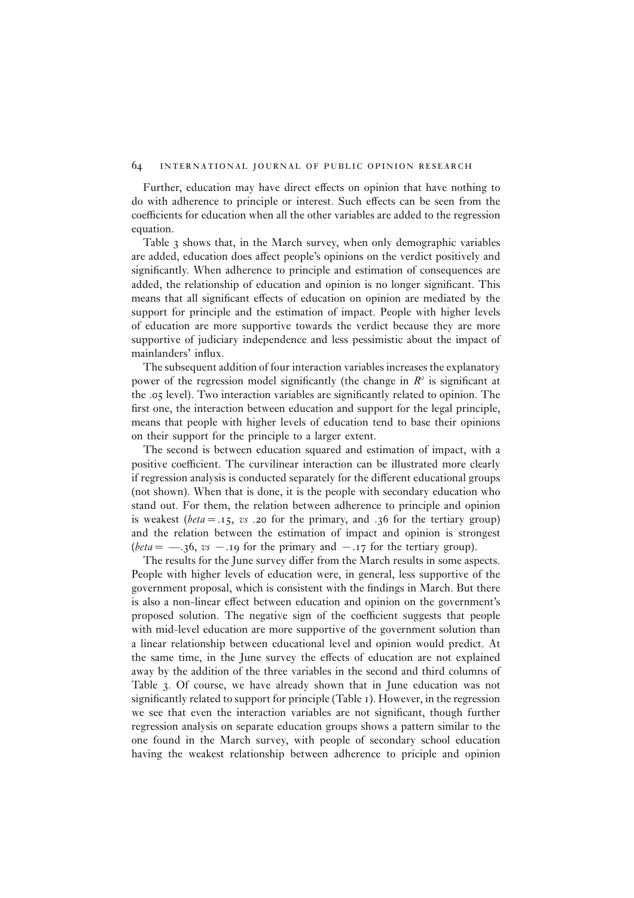Further, education may have direct effects on opinion that have nothing to do with adherence to principle or interest. Such effects can be seen from the coefficients for education when all the other variables are added to the regression equation.

Table 3 shows that, in the March survey, when only demographic variables are added, education does affect people's opinions on the verdict positively and significantly. When adherence to principle and estimation of consequences are added, the relationship of education and opinion is no longer significant. This means that all significant effects of education on opinion are mediated by the support for principle and the estimation of impact. People with higher levels of education are more supportive towards the verdict because they are more supportive of judiciary independence and less pessimistic about the impact of mainlanders' influx.

The subsequent addition of four interaction variables increases the explanatory power of the regression model significantly (the change in  $R<sup>2</sup>$  is significant at the .05 level). Two interaction variables are significantly related to opinion. The first one, the interaction between education and support for the legal principle, means that people with higher levels of education tend to base their opinions on their support for the principle to a larger extent.

The second is between education squared and estimation of impact, with a positive coefficient. The curvilinear interaction can be illustrated more clearly if regression analysis is conducted separately for the different educational groups (not shown). When that is done, it is the people with secondary education who stand out. For them, the relation between adherence to principle and opinion is weakest (*beta* = .15,  $\alpha$  .20 for the primary, and .36 for the tertiary group) and the relation between the estimation of impact and opinion is strongest (*beta* =  $-.36$ , *vs* −.19 for the primary and −.17 for the tertiary group).

The results for the June survey differ from the March results in some aspects. People with higher levels of education were, in general, less supportive of the government proposal, which is consistent with the findings in March. But there is also a non-linear effect between education and opinion on the government's proposed solution. The negative sign of the coefficient suggests that people with mid-level education are more supportive of the government solution than a linear relationship between educational level and opinion would predict. At the same time, in the June survey the effects of education are not explained away by the addition of the three variables in the second and third columns of Table . Of course, we have already shown that in June education was not significantly related to support for principle (Table 1). However, in the regression we see that even the interaction variables are not significant, though further regression analysis on separate education groups shows a pattern similar to the one found in the March survey, with people of secondary school education having the weakest relationship between adherence to priciple and opinion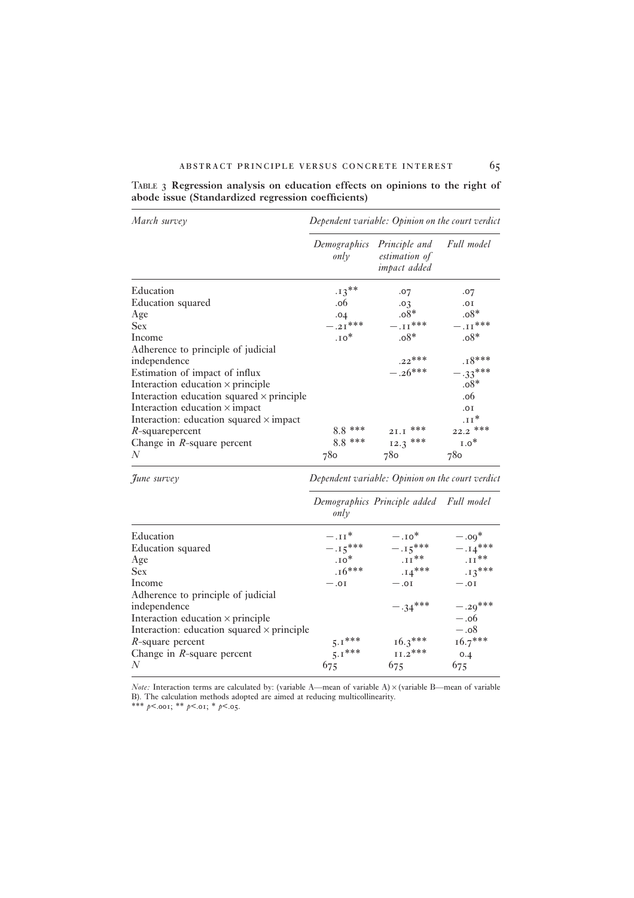| TABLE 3 Regression analysis on education effects on opinions to the right of |  |  |  |  |  |
|------------------------------------------------------------------------------|--|--|--|--|--|
| abode issue (Standardized regression coefficients)                           |  |  |  |  |  |

| March survey                                     | Dependent variable: Opinion on the court verdict |                                                                               |           |  |  |
|--------------------------------------------------|--------------------------------------------------|-------------------------------------------------------------------------------|-----------|--|--|
|                                                  | $\omega$                                         | Demographics Principle and Full model<br>estimation of<br><i>impact added</i> |           |  |  |
| Education                                        | $.13***$                                         | .07                                                                           | .07       |  |  |
| <b>Education</b> squared                         | .06                                              | .03                                                                           | .01       |  |  |
| Age                                              | .04                                              | $.08*$                                                                        | $.08*$    |  |  |
| <b>Sex</b>                                       | $-.21***$                                        | $-.11***$                                                                     | $-.11***$ |  |  |
| Income                                           | $.10*$                                           | $.08*$                                                                        | $.08*$    |  |  |
| Adherence to principle of judicial               |                                                  |                                                                               |           |  |  |
| independence                                     |                                                  | $.22***$                                                                      | $.18***$  |  |  |
| Estimation of impact of influx                   |                                                  | $-.26***$                                                                     | $-.33***$ |  |  |
| Interaction education $\times$ principle         |                                                  |                                                                               | $.08*$    |  |  |
| Interaction education squared $\times$ principle |                                                  |                                                                               | .06       |  |  |
| Interaction education $\times$ impact            |                                                  |                                                                               | .01       |  |  |
| Interaction: education squared $\times$ impact   |                                                  |                                                                               | $.11*$    |  |  |
| $R$ -squarepercent                               | $8.8***$                                         | $2I.I$ ***                                                                    | 22.2 ***  |  |  |
| Change in $R$ -square percent                    | $8.8***$                                         | $12.3$ ***                                                                    | $1.0*$    |  |  |
| N                                                | 780                                              | 780                                                                           | 780       |  |  |

*June survey Dependent variable: Opinion on the court verdict*

|                                                   | $\omega$             | Demographics Principle added Full model |           |
|---------------------------------------------------|----------------------|-----------------------------------------|-----------|
| Education                                         | $-.11*$              | $-.10*$                                 | $-.09*$   |
| <b>Education</b> squared                          | $-.15***$            | $-.15***$                               | $-.14***$ |
| Age                                               | $.10*$               | $.11***$                                | $.11**$   |
| <b>Sex</b>                                        | $.16***$             | $.14***$                                | $.13***$  |
| Income                                            | $-.01$               | $-.01$                                  | $-.01$    |
| Adherence to principle of judicial                |                      |                                         |           |
| independence                                      |                      | $-.34***$                               | $-.29***$ |
| Interaction education $\times$ principle          |                      |                                         | $-.06$    |
| Interaction: education squared $\times$ principle |                      |                                         | $-.08$    |
| $R$ -square percent                               |                      | $16.3***$                               | $16.7***$ |
| Change in $R$ -square percent                     | $5.1***$<br>$5.1***$ | $11.2***$                               | 0.4       |
| N                                                 | 675                  | 675                                     | 675       |

*Note:* Interaction terms are calculated by: (variable A—mean of variable A)×(variable B—mean of variable B). The calculation methods adopted are aimed at reducing multicollinearity.<br><sup>∗∗∗</sup> *p*<.001; <sup>∗∗</sup> *p*<.01; <sup>∗</sup> *p*<.05.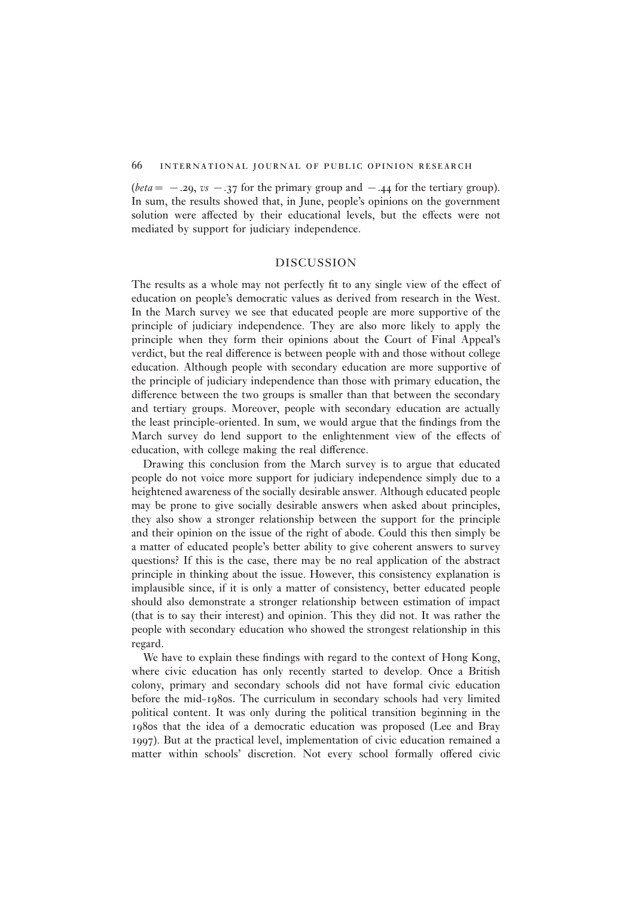(*beta* =  $-0.29$ , *vs*  $-0.37$  for the primary group and  $-0.44$  for the tertiary group). In sum, the results showed that, in June, people's opinions on the government solution were affected by their educational levels, but the effects were not mediated by support for judiciary independence.

#### DISCUSSION

The results as a whole may not perfectly fit to any single view of the effect of education on people's democratic values as derived from research in the West. In the March survey we see that educated people are more supportive of the principle of judiciary independence. They are also more likely to apply the principle when they form their opinions about the Court of Final Appeal's verdict, but the real difference is between people with and those without college education. Although people with secondary education are more supportive of the principle of judiciary independence than those with primary education, the difference between the two groups is smaller than that between the secondary and tertiary groups. Moreover, people with secondary education are actually the least principle-oriented. In sum, we would argue that the findings from the March survey do lend support to the enlightenment view of the effects of education, with college making the real difference.

Drawing this conclusion from the March survey is to argue that educated people do not voice more support for judiciary independence simply due to a heightened awareness of the socially desirable answer. Although educated people may be prone to give socially desirable answers when asked about principles, they also show a stronger relationship between the support for the principle and their opinion on the issue of the right of abode. Could this then simply be a matter of educated people's better ability to give coherent answers to survey questions? If this is the case, there may be no real application of the abstract principle in thinking about the issue. However, this consistency explanation is implausible since, if it is only a matter of consistency, better educated people should also demonstrate a stronger relationship between estimation of impact (that is to say their interest) and opinion. This they did not. It was rather the people with secondary education who showed the strongest relationship in this regard.

We have to explain these findings with regard to the context of Hong Kong, where civic education has only recently started to develop. Once a British colony, primary and secondary schools did not have formal civic education before the mid-1980s. The curriculum in secondary schools had very limited political content. It was only during the political transition beginning in the s that the idea of a democratic education was proposed (Lee and Bray ). But at the practical level, implementation of civic education remained a matter within schools' discretion. Not every school formally offered civic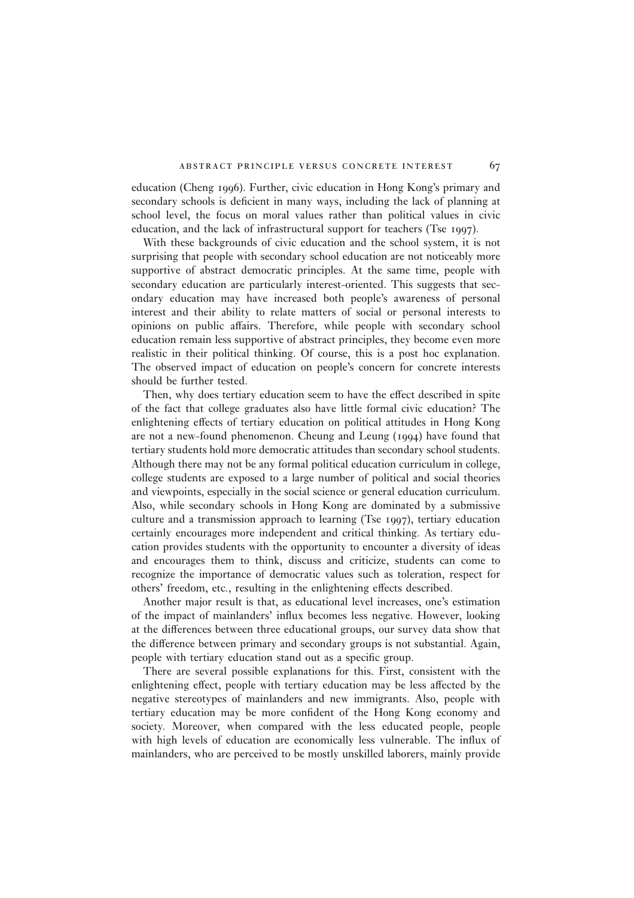education (Cheng 1996). Further, civic education in Hong Kong's primary and secondary schools is deficient in many ways, including the lack of planning at school level, the focus on moral values rather than political values in civic education, and the lack of infrastructural support for teachers (Tse  $1997$ ).

With these backgrounds of civic education and the school system, it is not surprising that people with secondary school education are not noticeably more supportive of abstract democratic principles. At the same time, people with secondary education are particularly interest-oriented. This suggests that secondary education may have increased both people's awareness of personal interest and their ability to relate matters of social or personal interests to opinions on public affairs. Therefore, while people with secondary school education remain less supportive of abstract principles, they become even more realistic in their political thinking. Of course, this is a post hoc explanation. The observed impact of education on people's concern for concrete interests should be further tested.

Then, why does tertiary education seem to have the effect described in spite of the fact that college graduates also have little formal civic education? The enlightening effects of tertiary education on political attitudes in Hong Kong are not a new-found phenomenon. Cheung and Leung  $(1994)$  have found that tertiary students hold more democratic attitudes than secondary school students. Although there may not be any formal political education curriculum in college, college students are exposed to a large number of political and social theories and viewpoints, especially in the social science or general education curriculum. Also, while secondary schools in Hong Kong are dominated by a submissive culture and a transmission approach to learning (Tse 1997), tertiary education certainly encourages more independent and critical thinking. As tertiary education provides students with the opportunity to encounter a diversity of ideas and encourages them to think, discuss and criticize, students can come to recognize the importance of democratic values such as toleration, respect for others' freedom, etc*.*, resulting in the enlightening effects described.

Another major result is that, as educational level increases, one's estimation of the impact of mainlanders' influx becomes less negative. However, looking at the differences between three educational groups, our survey data show that the difference between primary and secondary groups is not substantial. Again, people with tertiary education stand out as a specific group.

There are several possible explanations for this. First, consistent with the enlightening effect, people with tertiary education may be less affected by the negative stereotypes of mainlanders and new immigrants. Also, people with tertiary education may be more confident of the Hong Kong economy and society. Moreover, when compared with the less educated people, people with high levels of education are economically less vulnerable. The influx of mainlanders, who are perceived to be mostly unskilled laborers, mainly provide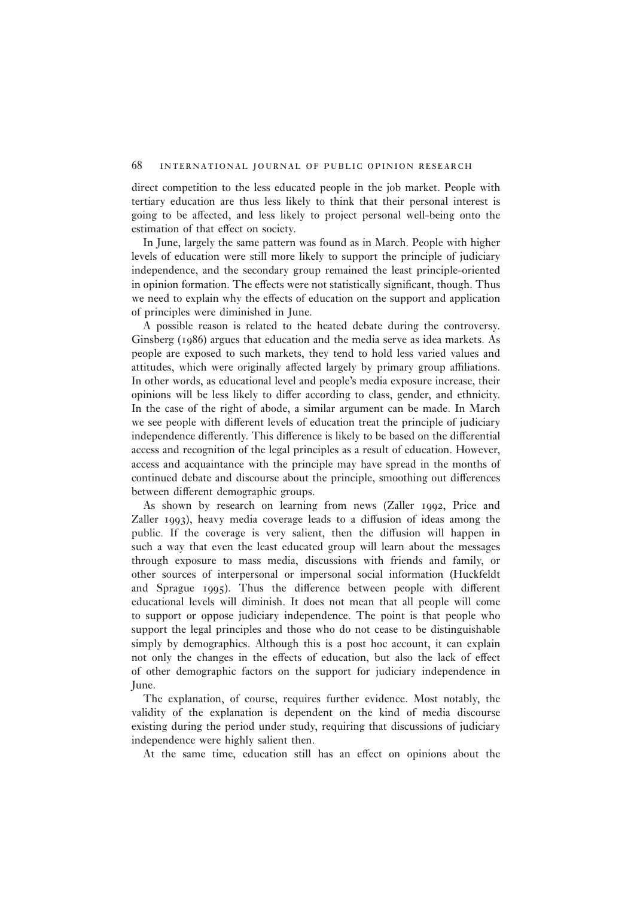direct competition to the less educated people in the job market. People with tertiary education are thus less likely to think that their personal interest is going to be affected, and less likely to project personal well-being onto the estimation of that effect on society.

In June, largely the same pattern was found as in March. People with higher levels of education were still more likely to support the principle of judiciary independence, and the secondary group remained the least principle-oriented in opinion formation. The effects were not statistically significant, though. Thus we need to explain why the effects of education on the support and application of principles were diminished in June.

A possible reason is related to the heated debate during the controversy. Ginsberg (1986) argues that education and the media serve as idea markets. As people are exposed to such markets, they tend to hold less varied values and attitudes, which were originally affected largely by primary group affiliations. In other words, as educational level and people's media exposure increase, their opinions will be less likely to differ according to class, gender, and ethnicity. In the case of the right of abode, a similar argument can be made. In March we see people with different levels of education treat the principle of judiciary independence differently. This difference is likely to be based on the differential access and recognition of the legal principles as a result of education. However, access and acquaintance with the principle may have spread in the months of continued debate and discourse about the principle, smoothing out differences between different demographic groups.

As shown by research on learning from news (Zaller 1992, Price and Zaller  $1993$ , heavy media coverage leads to a diffusion of ideas among the public. If the coverage is very salient, then the diffusion will happen in such a way that even the least educated group will learn about the messages through exposure to mass media, discussions with friends and family, or other sources of interpersonal or impersonal social information (Huckfeldt and Sprague 1995). Thus the difference between people with different educational levels will diminish. It does not mean that all people will come to support or oppose judiciary independence. The point is that people who support the legal principles and those who do not cease to be distinguishable simply by demographics. Although this is a post hoc account, it can explain not only the changes in the effects of education, but also the lack of effect of other demographic factors on the support for judiciary independence in June.

The explanation, of course, requires further evidence. Most notably, the validity of the explanation is dependent on the kind of media discourse existing during the period under study, requiring that discussions of judiciary independence were highly salient then.

At the same time, education still has an effect on opinions about the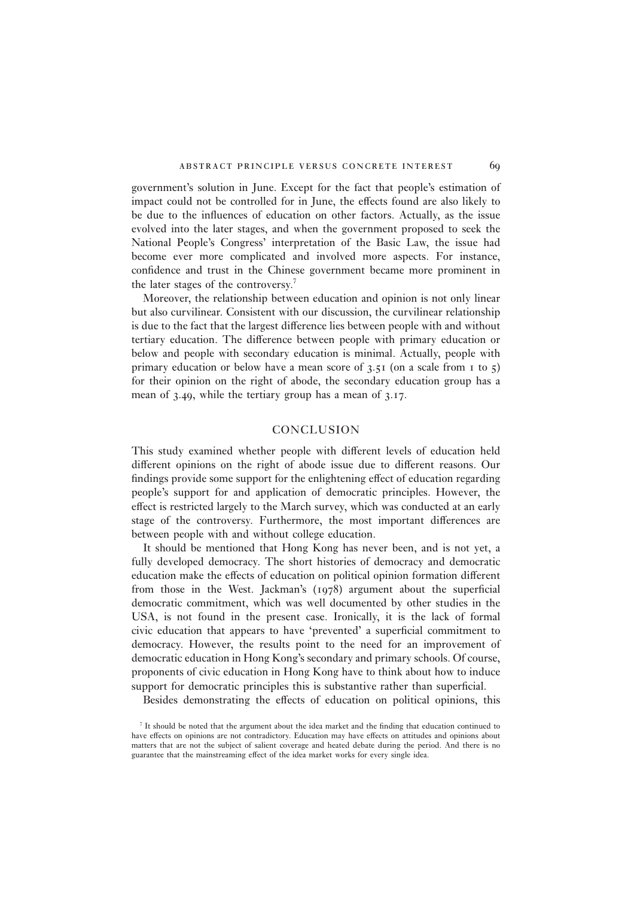government's solution in June. Except for the fact that people's estimation of impact could not be controlled for in June, the effects found are also likely to be due to the influences of education on other factors. Actually, as the issue evolved into the later stages, and when the government proposed to seek the National People's Congress' interpretation of the Basic Law, the issue had become ever more complicated and involved more aspects. For instance, confidence and trust in the Chinese government became more prominent in the later stages of the controversy.<sup>7</sup>

Moreover, the relationship between education and opinion is not only linear but also curvilinear. Consistent with our discussion, the curvilinear relationship is due to the fact that the largest difference lies between people with and without tertiary education. The difference between people with primary education or below and people with secondary education is minimal. Actually, people with primary education or below have a mean score of  $3.51$  (on a scale from  $1$  to  $5$ ) for their opinion on the right of abode, the secondary education group has a mean of  $3.49$ , while the tertiary group has a mean of  $3.17$ .

## **CONCLUSION**

This study examined whether people with different levels of education held different opinions on the right of abode issue due to different reasons. Our findings provide some support for the enlightening effect of education regarding people's support for and application of democratic principles. However, the effect is restricted largely to the March survey, which was conducted at an early stage of the controversy. Furthermore, the most important differences are between people with and without college education.

It should be mentioned that Hong Kong has never been, and is not yet, a fully developed democracy. The short histories of democracy and democratic education make the effects of education on political opinion formation different from those in the West. Jackman's  $(1978)$  argument about the superficial democratic commitment, which was well documented by other studies in the USA, is not found in the present case. Ironically, it is the lack of formal civic education that appears to have 'prevented' a superficial commitment to democracy. However, the results point to the need for an improvement of democratic education in Hong Kong's secondary and primary schools. Of course, proponents of civic education in Hong Kong have to think about how to induce support for democratic principles this is substantive rather than superficial.

Besides demonstrating the effects of education on political opinions, this

<sup>7</sup> It should be noted that the argument about the idea market and the finding that education continued to have effects on opinions are not contradictory. Education may have effects on attitudes and opinions about matters that are not the subject of salient coverage and heated debate during the period. And there is no guarantee that the mainstreaming effect of the idea market works for every single idea.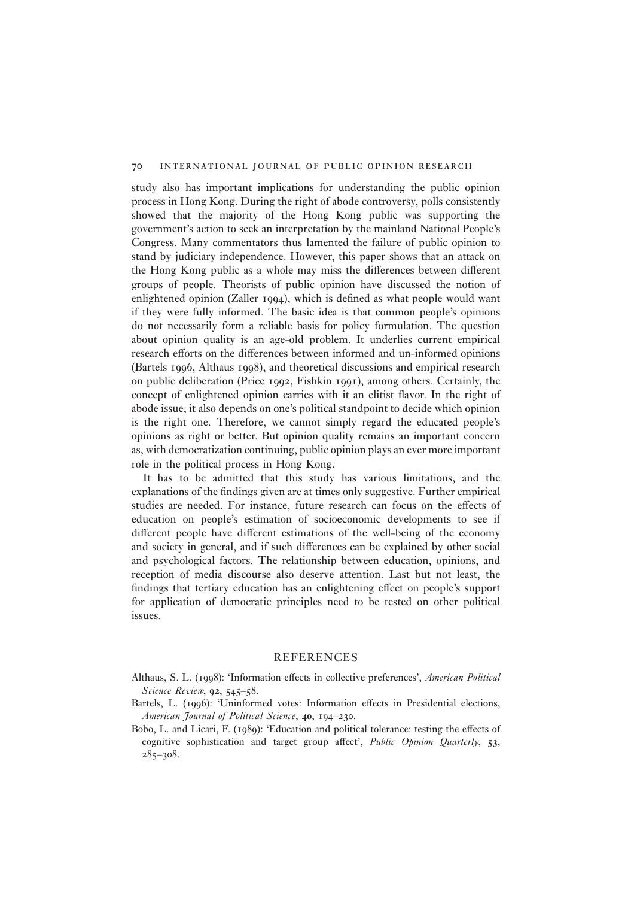study also has important implications for understanding the public opinion process in Hong Kong. During the right of abode controversy, polls consistently showed that the majority of the Hong Kong public was supporting the government's action to seek an interpretation by the mainland National People's Congress. Many commentators thus lamented the failure of public opinion to stand by judiciary independence. However, this paper shows that an attack on the Hong Kong public as a whole may miss the differences between different groups of people. Theorists of public opinion have discussed the notion of enlightened opinion (Zaller  $1994$ ), which is defined as what people would want if they were fully informed. The basic idea is that common people's opinions do not necessarily form a reliable basis for policy formulation. The question about opinion quality is an age-old problem. It underlies current empirical research efforts on the differences between informed and un-informed opinions (Bartels 1996, Althaus 1998), and theoretical discussions and empirical research on public deliberation (Price 1992, Fishkin 1991), among others. Certainly, the concept of enlightened opinion carries with it an elitist flavor. In the right of abode issue, it also depends on one's political standpoint to decide which opinion is the right one. Therefore, we cannot simply regard the educated people's opinions as right or better. But opinion quality remains an important concern as, with democratization continuing, public opinion plays an ever more important role in the political process in Hong Kong.

It has to be admitted that this study has various limitations, and the explanations of the findings given are at times only suggestive. Further empirical studies are needed. For instance, future research can focus on the effects of education on people's estimation of socioeconomic developments to see if different people have different estimations of the well-being of the economy and society in general, and if such differences can be explained by other social and psychological factors. The relationship between education, opinions, and reception of media discourse also deserve attention. Last but not least, the findings that tertiary education has an enlightening effect on people's support for application of democratic principles need to be tested on other political issues.

## REFERENCES

- Althaus, S. L. (1998): 'Information effects in collective preferences', *American Political Science Review*, 92, 545–58.
- Bartels, L. (1996): 'Uninformed votes: Information effects in Presidential elections, *American Journal of Political Science*, 40, 194-230.
- Bobo, L. and Licari, F.  $(1989)$ : 'Education and political tolerance: testing the effects of cognitive sophistication and target group affect', *Public Opinion Quarterly*, 53,  $285 - 308.$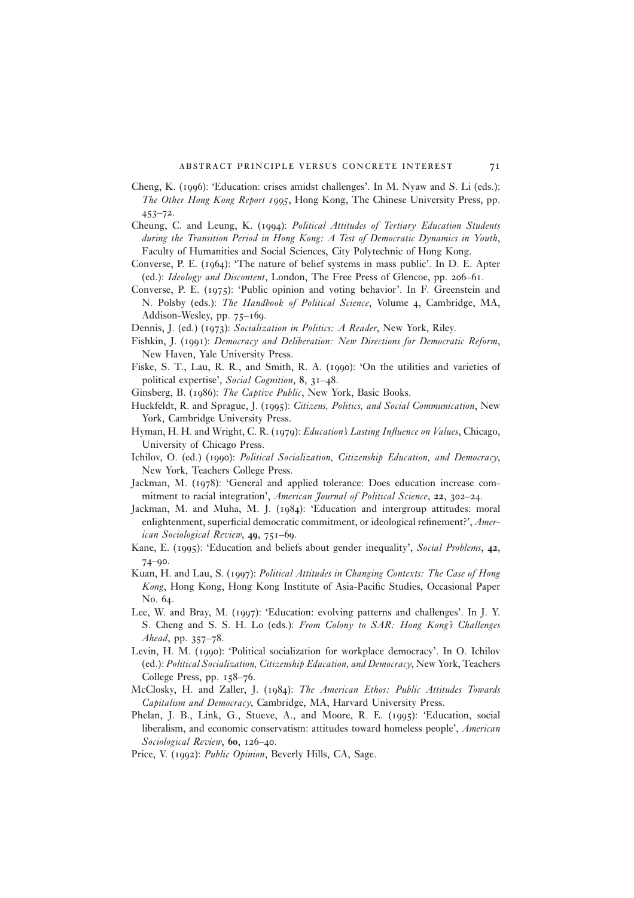- Cheng, K. (1996): 'Education: crises amidst challenges'. In M. Nyaw and S. Li (eds.): *The Other Hong Kong Report 1995*, Hong Kong, The Chinese University Press, pp.  $453 - 72$
- Cheung, C. and Leung, K. (1994): *Political Attitudes of Tertiary Education Students during the Transition Period in Hong Kong: A Test of Democratic Dynamics in Youth*, Faculty of Humanities and Social Sciences, City Polytechnic of Hong Kong.
- Converse, P. E. (1964): 'The nature of belief systems in mass public'. In D. E. Apter (ed.): *Ideology and Discontent*, London, The Free Press of Glencoe, pp. 206–61.
- Converse, P. E.  $(1975)$ : 'Public opinion and voting behavior'. In F. Greenstein and N. Polsby (eds.): *The Handbook of Political Science*, Volume 4, Cambridge, MA, Addison-Wesley, pp.  $75$ –169.
- Dennis, J. (ed.) (1973): *Socialization in Politics: A Reader*, New York, Riley.
- Fishkin, J. (1991): *Democracy and Deliberation: New Directions for Democratic Reform*, New Haven, Yale University Press.
- Fiske, S. T., Lau, R. R., and Smith, R. A. (1990): 'On the utilities and varieties of political expertise', *Social Cognition*, 8, 31-48.
- Ginsberg, B. (1986): *The Captive Public*, New York, Basic Books.
- Huckfeldt, R. and Sprague, J. (1995): *Citizens, Politics, and Social Communication*, New York, Cambridge University Press.
- Hyman, H. H. and Wright, C. R. (1979): *Education's Lasting Influence on Values*, Chicago, University of Chicago Press.
- Ichilov, O. (ed.) (): *Political Socialization, Citizenship Education, and Democracy*, New York, Teachers College Press.
- Jackman, M. (1978): 'General and applied tolerance: Does education increase commitment to racial integration', *American Journal of Political Science*, 22, 302-24.
- Jackman, M. and Muha, M. J. (1984): 'Education and intergroup attitudes: moral enlightenment, superficial democratic commitment, or ideological refinement?', *American Sociological Review*, 49, 751-69.
- Kane, E. (1995): 'Education and beliefs about gender inequality', *Social Problems*, 42,  $74 - 90.$
- Kuan, H. and Lau, S. (1997): *Political Attitudes in Changing Contexts: The Case of Hong Kong*, Hong Kong, Hong Kong Institute of Asia-Pacific Studies, Occasional Paper No. 64.
- Lee, W. and Bray, M. (1997): 'Education: evolving patterns and challenges'. In J. Y. S. Cheng and S. S. H. Lo (eds.): *From Colony to SAR: Hong Kong's Challenges Ahead*, pp. 357-78.
- Levin, H. M. (1990): 'Political socialization for workplace democracy'. In O. Ichilov (ed.): *Political Socialization, Citizenship Education, and Democracy*, New York, Teachers College Press, pp.  $158-76$ .
- McClosky, H. and Zaller, J. (1984): *The American Ethos: Public Attitudes Towards Capitalism and Democracy*, Cambridge, MA, Harvard University Press.
- Phelan, J. B., Link, G., Stueve, A., and Moore, R. E. (1995): 'Education, social liberalism, and economic conservatism: attitudes toward homeless people', *American Sociological Review*, 60, 126-40.
- Price, V. (1992): *Public Opinion*, Beverly Hills, CA, Sage.